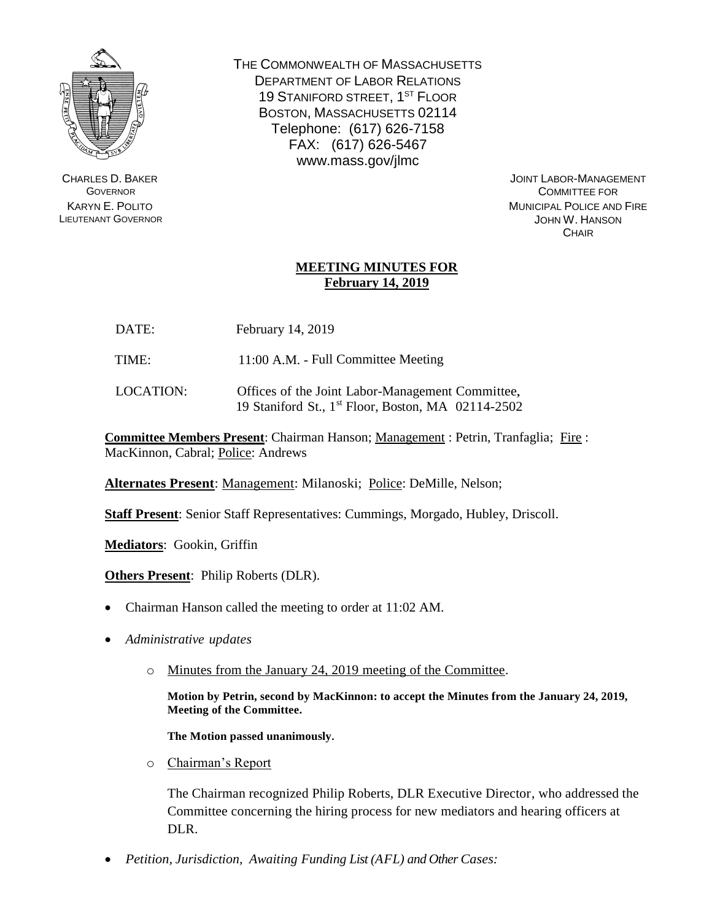

CHARLES D. BAKER **GOVERNOR** KARYN E. POLITO LIEUTENANT GOVERNOR THE COMMONWEALTH OF MASSACHUSETTS DEPARTMENT OF LABOR RELATIONS 19 STANIFORD STREET, 1<sup>ST</sup> FLOOR BOSTON, MASSACHUSETTS 02114 Telephone: (617) 626-7158 FAX: (617) 626-5467 www.mass.gov/jlmc

> JOINT LABOR-MANAGEMENT COMMITTEE FOR MUNICIPAL POLICE AND FIRE JOHN W. HANSON **CHAIR**

## **MEETING MINUTES FOR February 14, 2019**

- DATE: February 14, 2019
- TIME: 11:00 A.M. Full Committee Meeting
- LOCATION: Offices of the Joint Labor-Management Committee, 19 Staniford St., 1 st Floor, Boston, MA 02114-2502

**Committee Members Present**: Chairman Hanson; Management : Petrin, Tranfaglia; Fire : MacKinnon, Cabral; Police: Andrews

**Alternates Present**: Management: Milanoski; Police: DeMille, Nelson;

**Staff Present**: Senior Staff Representatives: Cummings, Morgado, Hubley, Driscoll.

**Mediators**: Gookin, Griffin

**Others Present**: Philip Roberts (DLR).

- Chairman Hanson called the meeting to order at 11:02 AM.
- *Administrative updates*
	- o Minutes from the January 24, 2019 meeting of the Committee.

**Motion by Petrin, second by MacKinnon: to accept the Minutes from the January 24, 2019, Meeting of the Committee.** 

**The Motion passed unanimously.**

o Chairman's Report

The Chairman recognized Philip Roberts, DLR Executive Director, who addressed the Committee concerning the hiring process for new mediators and hearing officers at DLR.

*Petition, Jurisdiction, Awaiting Funding List (AFL) and Other Cases:*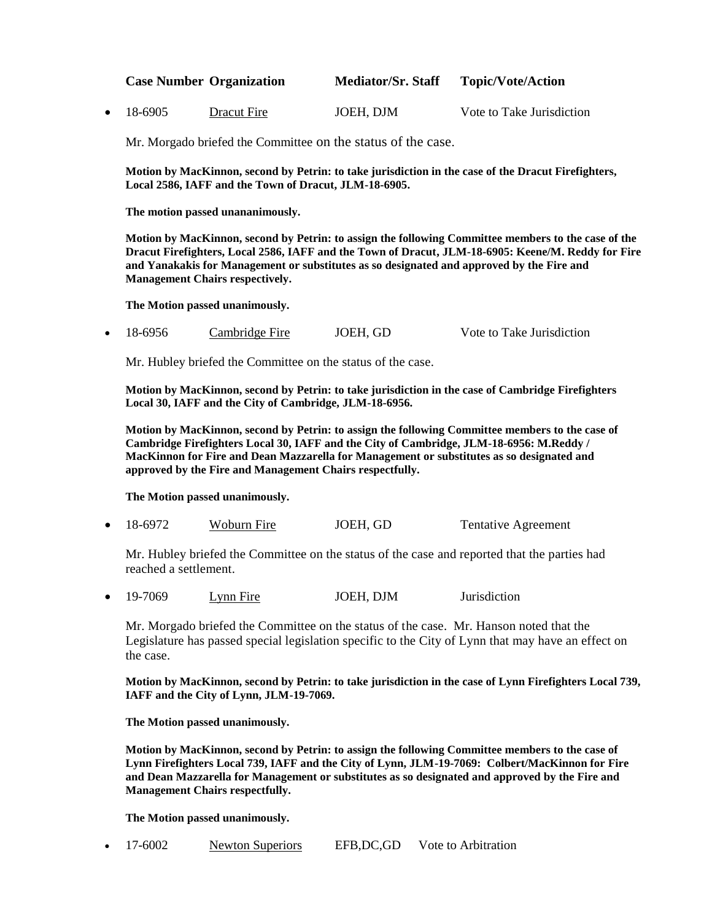|                   | <b>Case Number Organization</b> | <b>Mediator/Sr. Staff</b> | <b>Topic/Vote/Action</b>  |
|-------------------|---------------------------------|---------------------------|---------------------------|
| $\bullet$ 18-6905 | Dracut Fire                     | JOEH, DJM                 | Vote to Take Jurisdiction |

Mr. Morgado briefed the Committee on the status of the case.

**Motion by MacKinnon, second by Petrin: to take jurisdiction in the case of the Dracut Firefighters, Local 2586, IAFF and the Town of Dracut, JLM-18-6905.**

**The motion passed unananimously.** 

**Motion by MacKinnon, second by Petrin: to assign the following Committee members to the case of the Dracut Firefighters, Local 2586, IAFF and the Town of Dracut, JLM-18-6905: Keene/M. Reddy for Fire and Yanakakis for Management or substitutes as so designated and approved by the Fire and Management Chairs respectively.**

**The Motion passed unanimously.**

18-6956 Cambridge Fire JOEH, GD Vote to Take Jurisdiction

Mr. Hubley briefed the Committee on the status of the case.

**Motion by MacKinnon, second by Petrin: to take jurisdiction in the case of Cambridge Firefighters Local 30, IAFF and the City of Cambridge, JLM-18-6956.**

**Motion by MacKinnon, second by Petrin: to assign the following Committee members to the case of Cambridge Firefighters Local 30, IAFF and the City of Cambridge, JLM-18-6956: M.Reddy / MacKinnon for Fire and Dean Mazzarella for Management or substitutes as so designated and approved by the Fire and Management Chairs respectfully.**

**The Motion passed unanimously.**

18-6972 Woburn Fire JOEH, GD Tentative Agreement

Mr. Hubley briefed the Committee on the status of the case and reported that the parties had reached a settlement.

19-7069 Lynn Fire JOEH, DJM Jurisdiction

Mr. Morgado briefed the Committee on the status of the case. Mr. Hanson noted that the Legislature has passed special legislation specific to the City of Lynn that may have an effect on the case.

**Motion by MacKinnon, second by Petrin: to take jurisdiction in the case of Lynn Firefighters Local 739, IAFF and the City of Lynn, JLM-19-7069.**

**The Motion passed unanimously.**

**Motion by MacKinnon, second by Petrin: to assign the following Committee members to the case of Lynn Firefighters Local 739, IAFF and the City of Lynn, JLM-19-7069: Colbert/MacKinnon for Fire and Dean Mazzarella for Management or substitutes as so designated and approved by the Fire and Management Chairs respectfully.**

**The Motion passed unanimously.**

|  | 17-6002 | <b>Newton Superiors</b> | EFB, DC, GD | Vote to Arbitration |
|--|---------|-------------------------|-------------|---------------------|
|--|---------|-------------------------|-------------|---------------------|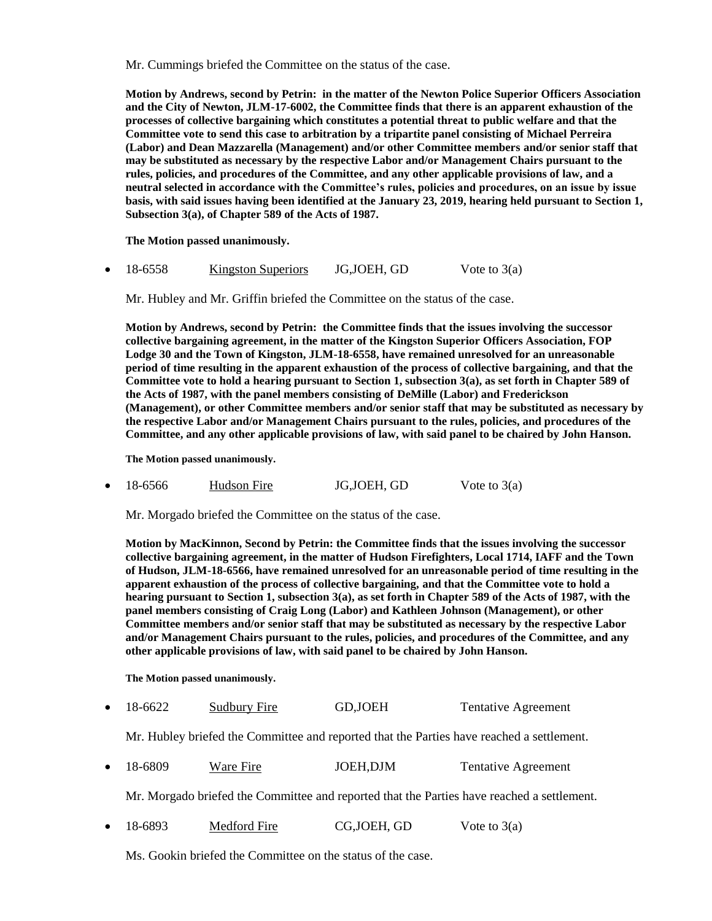Mr. Cummings briefed the Committee on the status of the case.

**Motion by Andrews, second by Petrin: in the matter of the Newton Police Superior Officers Association and the City of Newton, JLM-17-6002, the Committee finds that there is an apparent exhaustion of the processes of collective bargaining which constitutes a potential threat to public welfare and that the Committee vote to send this case to arbitration by a tripartite panel consisting of Michael Perreira (Labor) and Dean Mazzarella (Management) and/or other Committee members and/or senior staff that may be substituted as necessary by the respective Labor and/or Management Chairs pursuant to the rules, policies, and procedures of the Committee, and any other applicable provisions of law, and a neutral selected in accordance with the Committee's rules, policies and procedures, on an issue by issue basis, with said issues having been identified at the January 23, 2019, hearing held pursuant to Section 1, Subsection 3(a), of Chapter 589 of the Acts of 1987.**

**The Motion passed unanimously.**

18-6558 Kingston Superiors JG,JOEH, GD Vote to 3(a)

Mr. Hubley and Mr. Griffin briefed the Committee on the status of the case.

**Motion by Andrews, second by Petrin: the Committee finds that the issues involving the successor collective bargaining agreement, in the matter of the Kingston Superior Officers Association, FOP Lodge 30 and the Town of Kingston, JLM-18-6558, have remained unresolved for an unreasonable period of time resulting in the apparent exhaustion of the process of collective bargaining, and that the Committee vote to hold a hearing pursuant to Section 1, subsection 3(a), as set forth in Chapter 589 of the Acts of 1987, with the panel members consisting of DeMille (Labor) and Frederickson (Management), or other Committee members and/or senior staff that may be substituted as necessary by the respective Labor and/or Management Chairs pursuant to the rules, policies, and procedures of the Committee, and any other applicable provisions of law, with said panel to be chaired by John Hanson.** 

**The Motion passed unanimously.**

18-6566 Hudson Fire JG, JOEH, GD Vote to 3(a)

Mr. Morgado briefed the Committee on the status of the case.

**Motion by MacKinnon, Second by Petrin: the Committee finds that the issues involving the successor collective bargaining agreement, in the matter of Hudson Firefighters, Local 1714, IAFF and the Town of Hudson, JLM-18-6566, have remained unresolved for an unreasonable period of time resulting in the apparent exhaustion of the process of collective bargaining, and that the Committee vote to hold a hearing pursuant to Section 1, subsection 3(a), as set forth in Chapter 589 of the Acts of 1987, with the panel members consisting of Craig Long (Labor) and Kathleen Johnson (Management), or other Committee members and/or senior staff that may be substituted as necessary by the respective Labor and/or Management Chairs pursuant to the rules, policies, and procedures of the Committee, and any other applicable provisions of law, with said panel to be chaired by John Hanson.**

**The Motion passed unanimously.**

18-6622 Sudbury Fire GD,JOEH Tentative Agreement

Mr. Hubley briefed the Committee and reported that the Parties have reached a settlement.

18-6809 Ware Fire JOEH,DJM Tentative Agreement

Mr. Morgado briefed the Committee and reported that the Parties have reached a settlement.

18-6893 Medford Fire CG, JOEH, GD Vote to 3(a)

Ms. Gookin briefed the Committee on the status of the case.